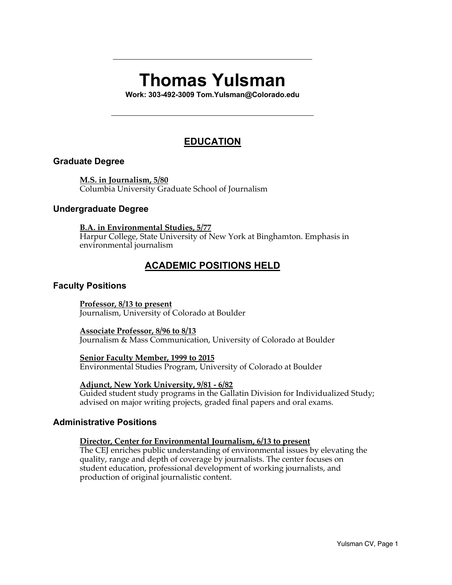# **Thomas Yulsman**

**\_\_\_\_\_\_\_\_\_\_\_\_\_\_\_\_\_\_\_\_\_\_\_\_\_\_\_\_\_\_\_\_\_\_\_\_\_\_\_\_\_\_\_\_\_\_\_\_\_\_\_\_\_\_\_\_\_\_\_\_**

**Work: 303-492-3009 Tom.Yulsman@Colorado.edu**

**\_\_\_\_\_\_\_\_\_\_\_\_\_\_\_\_\_\_\_\_\_\_\_\_\_\_\_\_\_\_\_\_\_\_\_\_\_\_\_\_\_\_\_\_\_\_\_\_\_\_\_\_\_\_\_\_\_\_\_\_\_**

# **EDUCATION**

#### **Graduate Degree**

**M.S. in Journalism, 5/80** Columbia University Graduate School of Journalism

#### **Undergraduate Degree**

#### **B.A. in Environmental Studies, 5/77**

Harpur College, State University of New York at Binghamton. Emphasis in environmental journalism

# **ACADEMIC POSITIONS HELD**

#### **Faculty Positions**

**Professor, 8/13 to present** Journalism, University of Colorado at Boulder

#### **Associate Professor, 8/96 to 8/13**

Journalism & Mass Communication, University of Colorado at Boulder

#### **Senior Faculty Member, 1999 to 2015**

Environmental Studies Program, University of Colorado at Boulder

#### **Adjunct, New York University, 9/81 - 6/82**

Guided student study programs in the Gallatin Division for Individualized Study; advised on major writing projects, graded final papers and oral exams.

#### **Administrative Positions**

#### **Director, Center for Environmental Journalism, 6/13 to present**

The CEJ enriches public understanding of environmental issues by elevating the quality, range and depth of coverage by journalists. The center focuses on student education, professional development of working journalists, and production of original journalistic content.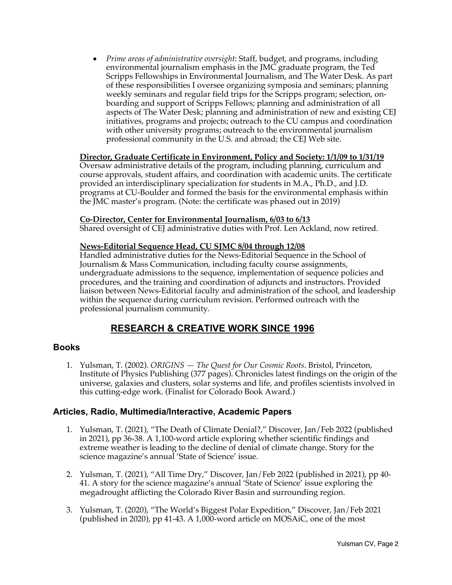• *Prime areas of administrative oversight*: Staff, budget, and programs, including environmental journalism emphasis in the JMC graduate program, the Ted Scripps Fellowships in Environmental Journalism, and The Water Desk. As part of these responsibilities I oversee organizing symposia and seminars; planning weekly seminars and regular field trips for the Scripps program; selection, onboarding and support of Scripps Fellows; planning and administration of all aspects of The Water Desk; planning and administration of new and existing CEJ initiatives, programs and projects; outreach to the CU campus and coordination with other university programs; outreach to the environmental journalism professional community in the U.S. and abroad; the CEJ Web site.

#### **Director, Graduate Certificate in Environment, Policy and Society: 1/1/09 to 1/31/19**

Oversaw administrative details of the program, including planning, curriculum and course approvals, student affairs, and coordination with academic units. The certificate provided an interdisciplinary specialization for students in M.A., Ph.D., and J.D. programs at CU-Boulder and formed the basis for the environmental emphasis within the JMC master's program. (Note: the certificate was phased out in 2019)

#### **Co-Director, Center for Environmental Journalism, 6/03 to 6/13**

Shared oversight of CEJ administrative duties with Prof. Len Ackland, now retired.

#### **News-Editorial Sequence Head, CU SJMC 8/04 through 12/08**

Handled administrative duties for the News-Editorial Sequence in the School of Journalism & Mass Communication, including faculty course assignments, undergraduate admissions to the sequence, implementation of sequence policies and procedures, and the training and coordination of adjuncts and instructors. Provided liaison between News-Editorial faculty and administration of the school, and leadership within the sequence during curriculum revision. Performed outreach with the professional journalism community.

# **RESEARCH & CREATIVE WORK SINCE 1996**

#### **Books**

1. Yulsman, T. (2002). *ORIGINS — The Quest for Our Cosmic Roots*. Bristol, Princeton, Institute of Physics Publishing (377 pages). Chronicles latest findings on the origin of the universe, galaxies and clusters, solar systems and life, and profiles scientists involved in this cutting-edge work. (Finalist for Colorado Book Award.)

#### **Articles, Radio, Multimedia/Interactive, Academic Papers**

- 1. Yulsman, T. (2021), "The Death of Climate Denial?," Discover, Jan/Feb 2022 (published in 2021), pp 36-38. A 1,100-word article exploring whether scientific findings and extreme weather is leading to the decline of denial of climate change. Story for the science magazine's annual 'State of Science' issue.
- 2. Yulsman, T. (2021), "All Time Dry," Discover, Jan/Feb 2022 (published in 2021), pp 40- 41. A story for the science magazine's annual 'State of Science' issue exploring the megadrought afflicting the Colorado River Basin and surrounding region.
- 3. Yulsman, T. (2020), "The World's Biggest Polar Expedition," Discover, Jan/Feb 2021 (published in 2020), pp 41-43. A 1,000-word article on MOSAiC, one of the most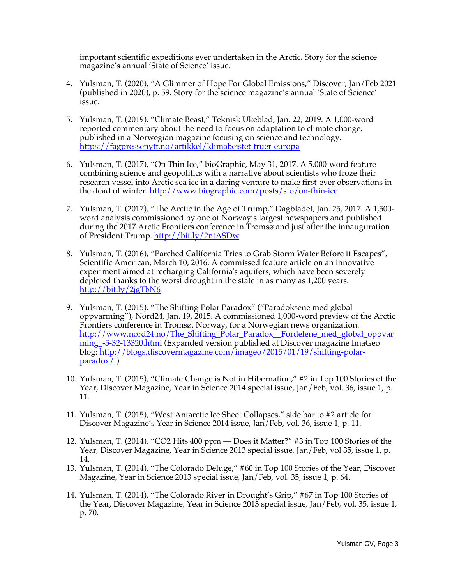important scientific expeditions ever undertaken in the Arctic. Story for the science magazine's annual 'State of Science' issue.

- 4. Yulsman, T. (2020), "A Glimmer of Hope For Global Emissions," Discover, Jan/Feb 2021 (published in 2020), p. 59. Story for the science magazine's annual 'State of Science' issue.
- 5. Yulsman, T. (2019), "Climate Beast," Teknisk Ukeblad, Jan. 22, 2019. A 1,000-word reported commentary about the need to focus on adaptation to climate change, published in a Norwegian magazine focusing on science and technology. https://fagpressenytt.no/artikkel/klimabeistet-truer-europa
- 6. Yulsman, T. (2017), "On Thin Ice," bioGraphic, May 31, 2017. A 5,000-word feature combining science and geopolitics with a narrative about scientists who froze their research vessel into Arctic sea ice in a daring venture to make first-ever observations in the dead of winter. http://www.biographic.com/posts/sto/on-thin-ice
- 7. Yulsman, T. (2017), "The Arctic in the Age of Trump," Dagbladet, Jan. 25, 2017. A 1,500 word analysis commissioned by one of Norway's largest newspapers and published during the 2017 Arctic Frontiers conference in Tromsø and just after the innauguration of President Trump. http://bit.ly/2ntASDw
- 8. Yulsman, T. (2016), "Parched California Tries to Grab Storm Water Before it Escapes", Scientific American, March 10, 2016. A commissed feature article on an innovative experiment aimed at recharging California's aquifers, which have been severely depleted thanks to the worst drought in the state in as many as 1,200 years. http://bit.ly/2jgTbN6
- 9. Yulsman, T. (2015), "The Shifting Polar Paradox" ("Paradoksene med global oppvarming"), Nord24, Jan. 19, 2015. A commissioned 1,000-word preview of the Arctic Frontiers conference in Tromsø, Norway, for a Norwegian news organization. http://www.nord24.no/The\_Shifting\_Polar\_Paradox\_Fordelene\_med\_global\_oppvar ming -5-32-13320.html (Expanded version published at Discover magazine ImaGeo blog: http://blogs.discovermagazine.com/imageo/2015/01/19/shifting-polar $paradox$ )
- 10. Yulsman, T. (2015), "Climate Change is Not in Hibernation," #2 in Top 100 Stories of the Year, Discover Magazine, Year in Science 2014 special issue, Jan/Feb, vol. 36, issue 1, p. 11.
- 11. Yulsman, T. (2015), "West Antarctic Ice Sheet Collapses," side bar to #2 article for Discover Magazine's Year in Science 2014 issue, Jan/Feb, vol. 36, issue 1, p. 11.
- 12. Yulsman, T. (2014), "CO2 Hits 400 ppm Does it Matter?" #3 in Top 100 Stories of the Year, Discover Magazine, Year in Science 2013 special issue, Jan/Feb, vol 35, issue 1, p. 14.
- 13. Yulsman, T. (2014), "The Colorado Deluge," #60 in Top 100 Stories of the Year, Discover Magazine, Year in Science 2013 special issue, Jan/Feb, vol. 35, issue 1, p. 64.
- 14. Yulsman, T. (2014), "The Colorado River in Drought's Grip," #67 in Top 100 Stories of the Year, Discover Magazine, Year in Science 2013 special issue, Jan/Feb, vol. 35, issue 1, p. 70.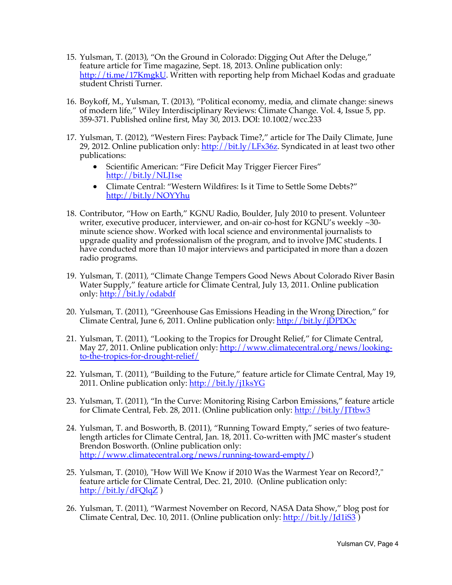- 15. Yulsman, T. (2013), "On the Ground in Colorado: Digging Out After the Deluge," feature article for Time magazine, Sept. 18, 2013. Online publication only:  $\frac{http://ti.me/17KmgkU}{http://ti.me/17KmgkU}$ . Written with reporting help from Michael Kodas and graduate student Christi Turner.
- 16. Boykoff, M., Yulsman, T. (2013), "Political economy, media, and climate change: sinews of modern life," Wiley Interdisciplinary Reviews: Climate Change. Vol. 4, Issue 5, pp. 359-371. Published online first, May 30, 2013. DOI: 10.1002/wcc.233
- 17. Yulsman, T. (2012), "Western Fires: Payback Time?," article for The Daily Climate, June 29, 2012. Online publication only: http://bit.ly/LFx36z. Syndicated in at least two other publications:
	- Scientific American: "Fire Deficit May Trigger Fiercer Fires" http://bit.ly/NLJ1se
	- Climate Central: "Western Wildfires: Is it Time to Settle Some Debts?" http://bit.ly/NOYYhu
- 18. Contributor, "How on Earth," KGNU Radio, Boulder, July 2010 to present. Volunteer writer, executive producer, interviewer, and on-air co-host for KGNU's weekly ~30 minute science show. Worked with local science and environmental journalists to upgrade quality and professionalism of the program, and to involve JMC students. I have conducted more than 10 major interviews and participated in more than a dozen radio programs.
- 19. Yulsman, T. (2011), "Climate Change Tempers Good News About Colorado River Basin Water Supply," feature article for Climate Central, July 13, 2011. Online publication only: http://bit.ly/odabdf
- 20. Yulsman, T. (2011), "Greenhouse Gas Emissions Heading in the Wrong Direction," for Climate Central, June 6, 2011. Online publication only: http://bit.ly/jDPDOc
- 21. Yulsman, T. (2011), "Looking to the Tropics for Drought Relief," for Climate Central, May 27, 2011. Online publication only: http://www.climatecentral.org/news/lookingto-the-tropics-for-drought-relief/
- 22. Yulsman, T. (2011), "Building to the Future," feature article for Climate Central, May 19, 2011. Online publication only: http://bit.ly/j1ksYG
- 23. Yulsman, T. (2011), "In the Curve: Monitoring Rising Carbon Emissions," feature article for Climate Central, Feb. 28, 2011. (Online publication only: http://bit.ly/JTtbw3
- 24. Yulsman, T. and Bosworth, B. (2011), "Running Toward Empty," series of two featurelength articles for Climate Central, Jan. 18, 2011. Co-written with JMC master's student Brendon Bosworth. (Online publication only: http://www.climatecentral.org/news/running-toward-empty/)
- 25. Yulsman, T. (2010), "How Will We Know if 2010 Was the Warmest Year on Record?," feature article for Climate Central, Dec. 21, 2010. (Online publication only: http://bit.ly/dFQlqZ )
- 26. Yulsman, T. (2011), "Warmest November on Record, NASA Data Show," blog post for Climate Central, Dec. 10, 2011. (Online publication only:  $\frac{http://bit.ly/Jd1iS3)}{http://bit.ly/Jd1iS3)}$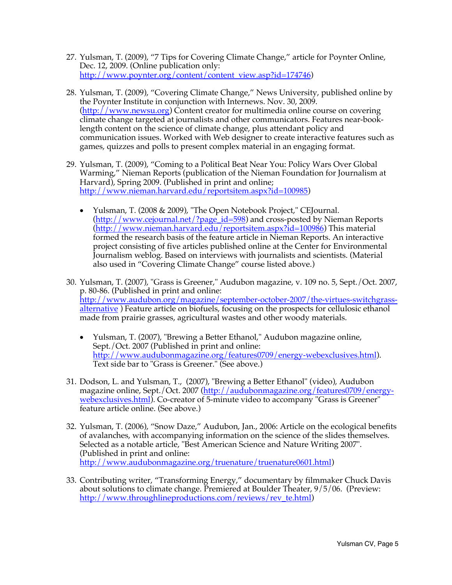- 27. Yulsman, T. (2009), "7 Tips for Covering Climate Change," article for Poynter Online, Dec. 12, 2009. (Online publication only: http://www.poynter.org/content/content\_view.asp?id=174746)
- 28. Yulsman, T. (2009), "Covering Climate Change," News University, published online by the Poynter Institute in conjunction with Internews. Nov. 30, 2009. (http://www.newsu.org) Content creator for multimedia online course on covering climate change targeted at journalists and other communicators. Features near-booklength content on the science of climate change, plus attendant policy and communication issues. Worked with Web designer to create interactive features such as games, quizzes and polls to present complex material in an engaging format.
- 29. Yulsman, T. (2009), "Coming to a Political Beat Near You: Policy Wars Over Global Warming," Nieman Reports (publication of the Nieman Foundation for Journalism at Harvard), Spring 2009. (Published in print and online; http://www.nieman.harvard.edu/reportsitem.aspx?id=100985)
	- Yulsman, T. (2008 & 2009), "The Open Notebook Project," CEJournal. (http://www.cejournal.net/?page\_id=598) and cross-posted by Nieman Reports (http://www.nieman.harvard.edu/reportsitem.aspx?id=100986) This material formed the research basis of the feature article in Nieman Reports. An interactive project consisting of five articles published online at the Center for Environmental Journalism weblog. Based on interviews with journalists and scientists. (Material also used in "Covering Climate Change" course listed above.)
- 30. Yulsman, T. (2007), "Grass is Greener," Audubon magazine, v. 109 no. 5, Sept./Oct. 2007, p. 80-86. (Published in print and online: http://www.audubon.org/magazine/september-october-2007/the-virtues-switchgrassalternative ) Feature article on biofuels, focusing on the prospects for cellulosic ethanol made from prairie grasses, agricultural wastes and other woody materials.
	- Yulsman, T. (2007), "Brewing a Better Ethanol," Audubon magazine online, Sept./Oct. 2007 (Published in print and online: http://www.audubonmagazine.org/features0709/energy-webexclusives.html). Text side bar to "Grass is Greener." (See above.)
- 31. Dodson, L. and Yulsman, T., (2007), "Brewing a Better Ethanol" (video), Audubon magazine online, Sept./Oct. 2007 (http://audubonmagazine.org/features0709/energywebexclusives.html). Co-creator of 5-minute video to accompany "Grass is Greener" feature article online. (See above.)
- 32. Yulsman, T. (2006), "Snow Daze," Audubon, Jan., 2006: Article on the ecological benefits of avalanches, with accompanying information on the science of the slides themselves. Selected as a notable article, "Best American Science and Nature Writing 2007". (Published in print and online: http://www.audubonmagazine.org/truenature/truenature0601.html)
- 33. Contributing writer, "Transforming Energy," documentary by filmmaker Chuck Davis about solutions to climate change. Premiered at Boulder Theater, 9/5/06. (Preview: http://www.throughlineproductions.com/reviews/rev\_te.html)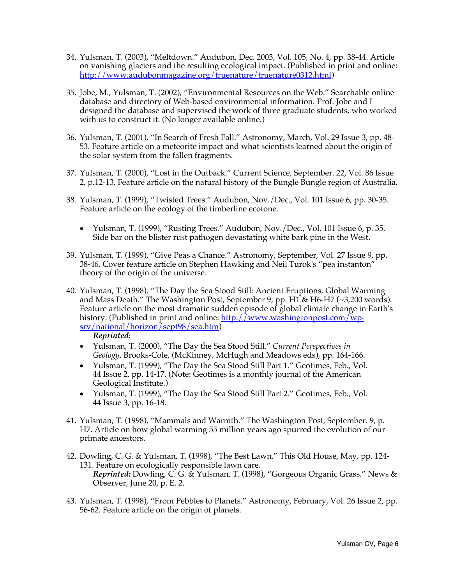- 34. Yulsman, T. (2003), "Meltdown." Audubon, Dec. 2003, Vol. 105, No. 4, pp. 38-44. Article on vanishing glaciers and the resulting ecological impact. (Published in print and online: http://www.audubonmagazine.org/truenature/truenature0312.html)
- 35. Jobe, M., Yulsman, T. (2002), "Environmental Resources on the Web." Searchable online database and directory of Web-based environmental information. Prof. Jobe and I designed the database and supervised the work of three graduate students, who worked with us to construct it. (No longer available online.)
- 36. Yulsman, T. (2001), "In Search of Fresh Fall." Astronomy, March, Vol. 29 Issue 3, pp. 48- 53. Feature article on a meteorite impact and what scientists learned about the origin of the solar system from the fallen fragments.
- 37. Yulsman, T. (2000), "Lost in the Outback." Current Science, September. 22, Vol. 86 Issue 2, p.12-13. Feature article on the natural history of the Bungle Bungle region of Australia.
- 38. Yulsman, T. (1999), "Twisted Trees." Audubon, Nov./Dec., Vol. 101 Issue 6, pp. 30-35. Feature article on the ecology of the timberline ecotone.
	- Yulsman, T. (1999), "Rusting Trees." Audubon, Nov. */Dec.*, Vol. 101 Issue 6, p. 35. Side bar on the blister rust pathogen devastating white bark pine in the West.
- 39. Yulsman, T. (1999), "Give Peas a Chance." Astronomy, September, Vol. 27 Issue 9, pp. 38-46. Cover feature article on Stephen Hawking and Neil Turok's "pea instanton" theory of the origin of the universe.
- 40. Yulsman, T. (1998), "The Day the Sea Stood Still: Ancient Eruptions, Global Warming and Mass Death." The Washington Post, September 9, pp. H1 & H6-H7 (~3,200 words). Feature article on the most dramatic sudden episode of global climate change in Earth's history. (Published in print and online: http://www.washingtonpost.com/wpsrv/national/horizon/sept98/sea.htm)

*Reprinted:*

- Yulsman, T. (2000), "The Day the Sea Stood Still." *Current Perspectives in Geology*, Brooks-Cole, (McKinney, McHugh and Meadows eds), pp. 164-166.
- Yulsman, T. (1999), "The Day the Sea Stood Still Part 1." Geotimes, Feb., Vol. 44 Issue 2, pp. 14-17. (Note: Geotimes is a monthly journal of the American Geological Institute.)
- Yulsman, T. (1999), "The Day the Sea Stood Still Part 2." Geotimes, Feb., Vol. 44 Issue 3, pp. 16-18.
- 41. Yulsman, T. (1998), "Mammals and Warmth." The Washington Post, September. 9, p. H7. Article on how global warming 55 million years ago spurred the evolution of our primate ancestors.
- 42. Dowling, C. G. & Yulsman, T. (1998), "The Best Lawn." This Old House, May, pp. 124- 131. Feature on ecologically responsible lawn care.

*Reprinted:* Dowling, C. G. & Yulsman, T. (1998), "Gorgeous Organic Grass." News & Observer, June 20, p. E. 2.

43. Yulsman, T. (1998), "From Pebbles to Planets." Astronomy, February, Vol. 26 Issue 2, pp. 56-62. Feature article on the origin of planets.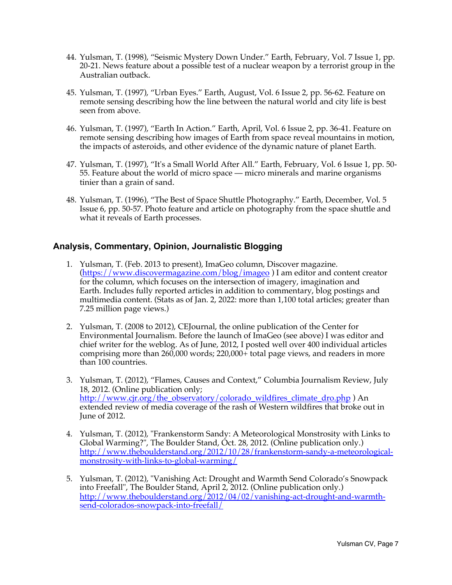- 44. Yulsman, T. (1998), "Seismic Mystery Down Under." Earth, February, Vol. 7 Issue 1, pp. 20-21. News feature about a possible test of a nuclear weapon by a terrorist group in the Australian outback.
- 45. Yulsman, T. (1997), "Urban Eyes." Earth, August, Vol. 6 Issue 2, pp. 56-62. Feature on remote sensing describing how the line between the natural world and city life is best seen from above.
- 46. Yulsman, T. (1997), "Earth In Action." Earth, April, Vol. 6 Issue 2, pp. 36-41. Feature on remote sensing describing how images of Earth from space reveal mountains in motion, the impacts of asteroids, and other evidence of the dynamic nature of planet Earth.
- 47. Yulsman, T. (1997), "It's a Small World After All." Earth, February, Vol. 6 Issue 1, pp. 50- 55. Feature about the world of micro space — micro minerals and marine organisms tinier than a grain of sand.
- 48. Yulsman, T. (1996), "The Best of Space Shuttle Photography." Earth, December, Vol. 5 Issue 6, pp. 50-57. Photo feature and article on photography from the space shuttle and what it reveals of Earth processes.

# **Analysis, Commentary, Opinion, Journalistic Blogging**

- 1. Yulsman, T. (Feb. 2013 to present), ImaGeo column, Discover magazine. (https://www.discovermagazine.com/blog/imageo ) I am editor and content creator for the column, which focuses on the intersection of imagery, imagination and Earth. Includes fully reported articles in addition to commentary, blog postings and multimedia content. (Stats as of Jan. 2, 2022: more than 1,100 total articles; greater than 7.25 million page views.)
- 2. Yulsman, T. (2008 to 2012), CEJournal, the online publication of the Center for Environmental Journalism. Before the launch of ImaGeo (see above) I was editor and chief writer for the weblog. As of June, 2012, I posted well over 400 individual articles comprising more than 260,000 words; 220,000+ total page views, and readers in more than 100 countries.
- 3. Yulsman, T. (2012), "Flames, Causes and Context," Columbia Journalism Review, July 18, 2012. (Online publication only; http://www.cjr.org/the\_observatory/colorado\_wildfires\_climate\_dro.php ) An extended review of media coverage of the rash of Western wildfires that broke out in June of 2012.
- 4. Yulsman, T. (2012), "Frankenstorm Sandy: A Meteorological Monstrosity with Links to Global Warming?", The Boulder Stand, Oct. 28, 2012. (Online publication only.) http://www.theboulderstand.org/2012/10/28/frankenstorm-sandy-a-meteorologicalmonstrosity-with-links-to-global-warming/
- 5. Yulsman, T. (2012), "Vanishing Act: Drought and Warmth Send Colorado's Snowpack into Freefall", The Boulder Stand, April 2, 2012. (Online publication only.) http://www.theboulderstand.org/2012/04/02/vanishing-act-drought-and-warmthsend-colorados-snowpack-into-freefall/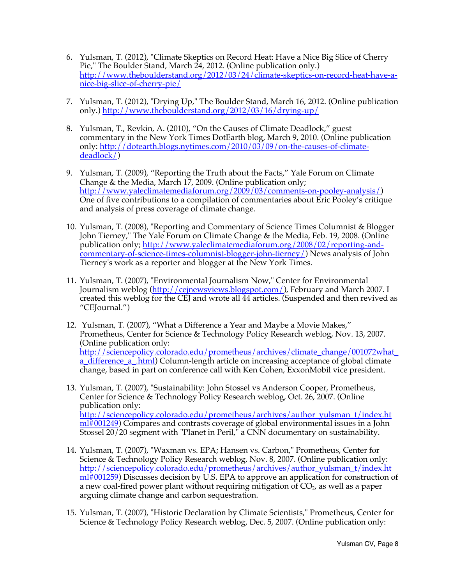- 6. Yulsman, T. (2012), "Climate Skeptics on Record Heat: Have a Nice Big Slice of Cherry Pie," The Boulder Stand, March 24, 2012. (Online publication only.) http://www.theboulderstand.org/2012/03/24/climate-skeptics-on-record-heat-have-anice-big-slice-of-cherry-pie/
- 7. Yulsman, T. (2012), "Drying Up," The Boulder Stand, March 16, 2012. (Online publication only.) http://www.theboulderstand.org/2012/03/16/drying-up/
- 8. Yulsman, T., Revkin, A. (2010), "On the Causes of Climate Deadlock," guest commentary in the New York Times DotEarth blog, March 9, 2010. (Online publication only: http://dotearth.blogs.nytimes.com/2010/03/09/on-the-causes-of-climatedeadlock/)
- 9. Yulsman, T. (2009), "Reporting the Truth about the Facts," Yale Forum on Climate Change & the Media, March 17, 2009. (Online publication only; http://www.yaleclimatemediaforum.org/2009/03/comments-on-pooley-analysis/) One of five contributions to a compilation of commentaries about Eric Pooley's critique and analysis of press coverage of climate change.
- 10. Yulsman, T. (2008), "Reporting and Commentary of Science Times Columnist & Blogger John Tierney," The Yale Forum on Climate Change & the Media, Feb. 19, 2008. (Online publication only; http://www.yaleclimatemediaforum.org/2008/02/reporting-andcommentary-of-science-times-columnist-blogger-john-tierney/) News analysis of John Tierney's work as a reporter and blogger at the New York Times.
- 11. Yulsman, T. (2007), "Environmental Journalism Now," Center for Environmental Journalism weblog (http://cejnewsviews.blogspot.com/), February and March 2007. I created this weblog for the CEJ and wrote all 44 articles. (Suspended and then revived as "CEJournal.")
- 12. Yulsman, T. (2007), "What a Difference a Year and Maybe a Movie Makes," Prometheus, Center for Science & Technology Policy Research weblog, Nov. 13, 2007. (Online publication only: http://sciencepolicy.colorado.edu/prometheus/archives/climate\_change/001072what\_ a\_difference\_a\_.html) Column-length article on increasing acceptance of global climate change, based in part on conference call with Ken Cohen, ExxonMobil vice president.
- 13. Yulsman, T. (2007), "Sustainability: John Stossel vs Anderson Cooper, Prometheus, Center for Science & Technology Policy Research weblog, Oct. 26, 2007. (Online publication only: http://sciencepolicy.colorado.edu/prometheus/archives/author\_yulsman\_t/index.ht  $m\overline{\text{m}}$  (001249) Compares and contrasts coverage of global environmental issues in a John Stossel 20/20 segment with "Planet in Peril," a CNN documentary on sustainability.
- 14. Yulsman, T. (2007), "Waxman vs. EPA; Hansen vs. Carbon," Prometheus, Center for Science & Technology Policy Research weblog, Nov. 8, 2007. (Online publication only: http://sciencepolicy.colorado.edu/prometheus/archives/author\_yulsman\_t/index.ht  $m\hat{H}$  001259) Discusses decision by U.S. EPA to approve an application for construction of a new coal-fired power plant without requiring mitigation of  $CO<sub>2</sub>$ , as well as a paper arguing climate change and carbon sequestration.
- 15. Yulsman, T. (2007), "Historic Declaration by Climate Scientists," Prometheus, Center for Science & Technology Policy Research weblog, Dec. 5, 2007. (Online publication only: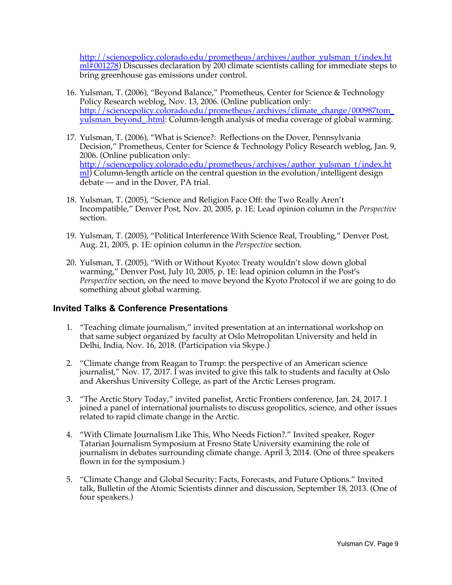http://sciencepolicy.colorado.edu/prometheus/archives/author\_yulsman\_t/index.ht  $m\hat{H}$  001278) Discusses declaration by 200 climate scientists calling for immediate steps to bring greenhouse gas emissions under control.

- 16. Yulsman, T. (2006), "Beyond Balance," Prometheus, Center for Science & Technology Policy Research weblog, Nov. 13, 2006. (Online publication only: http://sciencepolicy.colorado.edu/prometheus/archives/climate\_change/000987tom\_ yulsman\_beyond\_.html: Column-length analysis of media coverage of global warming.
- 17. Yulsman, T. (2006), "What is Science?: Reflections on the Dover, Pennsylvania Decision," Prometheus, Center for Science & Technology Policy Research weblog, Jan. 9, 2006. (Online publication only: http://sciencepolicy.colorado.edu/prometheus/archives/author\_yulsman\_t/index.ht  $ml)$  Column-length article on the central question in the evolution/intelligent design debate — and in the Dover, PA trial.
- 18. Yulsman, T. (2005), "Science and Religion Face Off: the Two Really Aren't Incompatible," Denver Post, Nov. 20, 2005, p. 1E: Lead opinion column in the *Perspective* section.
- 19. Yulsman, T. (2005), "Political Interference With Science Real, Troubling," Denver Post, Aug. 21, 2005, p. 1E: opinion column in the *Perspective* section.
- 20. Yulsman, T. (2005), "With or Without Kyoto: Treaty wouldn't slow down global warming," Denver Post, July 10, 2005, p. 1E: lead opinion column in the Post's *Perspective* section, on the need to move beyond the Kyoto Protocol if we are going to do something about global warming.

## **Invited Talks & Conference Presentations**

- 1. "Teaching climate journalism," invited presentation at an international workshop on that same subject organized by faculty at Oslo Metropolitan University and held in Delhi, India, Nov. 16, 2018. (Participation via Skype.)
- 2. "Climate change from Reagan to Trump: the perspective of an American science journalist," Nov. 17, 2017. I was invited to give this talk to students and faculty at Oslo and Akershus University College, as part of the Arctic Lenses program.
- 3. "The Arctic Story Today," invited panelist, Arctic Frontiers conference, Jan. 24, 2017. I joined a panel of international journalists to discuss geopolitics, science, and other issues related to rapid climate change in the Arctic.
- 4. "With Climate Journalism Like This, Who Needs Fiction?." Invited speaker, Roger Tatarian Journalism Symposium at Fresno State University examining the role of journalism in debates surrounding climate change. April 3, 2014. (One of three speakers flown in for the symposium.)
- 5. "Climate Change and Global Security: Facts, Forecasts, and Future Options." Invited talk, Bulletin of the Atomic Scientists dinner and discussion, September 18, 2013. (One of four speakers.)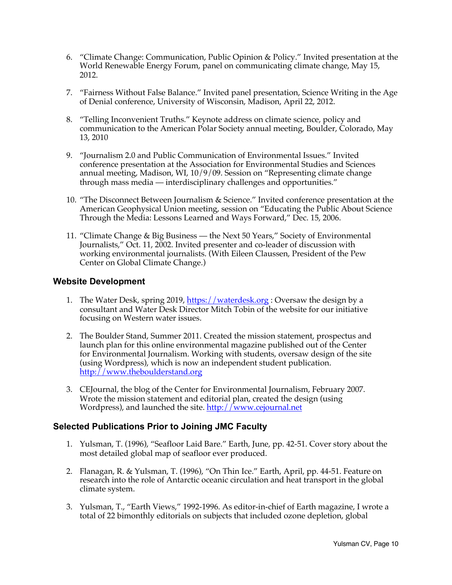- 6. "Climate Change: Communication, Public Opinion & Policy." Invited presentation at the World Renewable Energy Forum, panel on communicating climate change, May 15, 2012.
- 7. "Fairness Without False Balance." Invited panel presentation, Science Writing in the Age of Denial conference, University of Wisconsin, Madison, April 22, 2012.
- 8. "Telling Inconvenient Truths." Keynote address on climate science, policy and communication to the American Polar Society annual meeting, Boulder, Colorado, May 13, 2010
- 9. "Journalism 2.0 and Public Communication of Environmental Issues." Invited conference presentation at the Association for Environmental Studies and Sciences annual meeting, Madison, WI, 10/9/09. Session on "Representing climate change through mass media — interdisciplinary challenges and opportunities."
- 10. "The Disconnect Between Journalism & Science." Invited conference presentation at the American Geophysical Union meeting, session on "Educating the Public About Science Through the Media: Lessons Learned and Ways Forward," Dec. 15, 2006.
- 11. "Climate Change & Big Business the Next 50 Years," Society of Environmental Journalists," Oct. 11, 2002. Invited presenter and co-leader of discussion with working environmental journalists. (With Eileen Claussen, President of the Pew Center on Global Climate Change.)

## **Website Development**

- 1. The Water Desk, spring 2019, https://waterdesk.org: Oversaw the design by a consultant and Water Desk Director Mitch Tobin of the website for our initiative focusing on Western water issues.
- 2. The Boulder Stand, Summer 2011. Created the mission statement, prospectus and launch plan for this online environmental magazine published out of the Center for Environmental Journalism. Working with students, oversaw design of the site (using Wordpress), which is now an independent student publication. http://www.theboulderstand.org
- 3. CEJournal, the blog of the Center for Environmental Journalism, February 2007. Wrote the mission statement and editorial plan, created the design (using Wordpress), and launched the site. http://www.cejournal.net

# **Selected Publications Prior to Joining JMC Faculty**

- 1. Yulsman, T. (1996), "Seafloor Laid Bare." Earth, June, pp. 42-51. Cover story about the most detailed global map of seafloor ever produced.
- 2. Flanagan, R. & Yulsman, T. (1996), "On Thin Ice." Earth, April, pp. 44-51. Feature on research into the role of Antarctic oceanic circulation and heat transport in the global climate system.
- 3. Yulsman, T., "Earth Views," 1992-1996. As editor-in-chief of Earth magazine, I wrote a total of 22 bimonthly editorials on subjects that included ozone depletion, global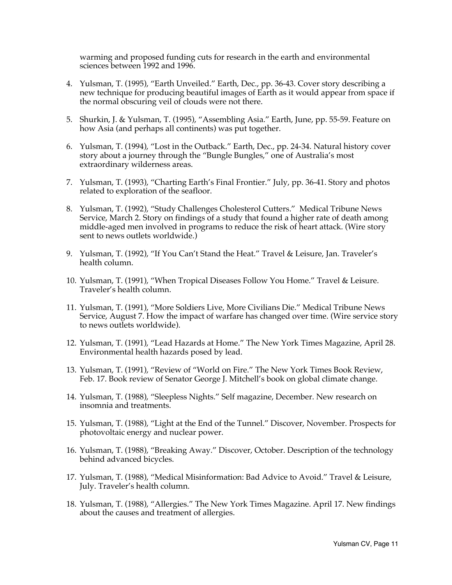warming and proposed funding cuts for research in the earth and environmental sciences between 1992 and 1996.

- 4. Yulsman, T. (1995), "Earth Unveiled." Earth, Dec., pp. 36-43. Cover story describing a new technique for producing beautiful images of Earth as it would appear from space if the normal obscuring veil of clouds were not there.
- 5. Shurkin, J. & Yulsman, T. (1995), "Assembling Asia." Earth, June, pp. 55-59. Feature on how Asia (and perhaps all continents) was put together.
- 6. Yulsman, T. (1994), "Lost in the Outback." Earth, Dec., pp. 24-34. Natural history cover story about a journey through the "Bungle Bungles," one of Australia's most extraordinary wilderness areas.
- 7. Yulsman, T. (1993), "Charting Earth's Final Frontier." July, pp. 36-41. Story and photos related to exploration of the seafloor.
- 8. Yulsman, T. (1992), "Study Challenges Cholesterol Cutters." Medical Tribune News Service, March 2. Story on findings of a study that found a higher rate of death among middle-aged men involved in programs to reduce the risk of heart attack. (Wire story sent to news outlets worldwide.)
- 9. Yulsman, T. (1992), "If You Can't Stand the Heat." Travel & Leisure, Jan. Traveler's health column.
- 10. Yulsman, T. (1991), "When Tropical Diseases Follow You Home." Travel & Leisure. Traveler's health column.
- 11. Yulsman, T. (1991), "More Soldiers Live, More Civilians Die." Medical Tribune News Service, August 7. How the impact of warfare has changed over time. (Wire service story to news outlets worldwide).
- 12. Yulsman, T. (1991), "Lead Hazards at Home." The New York Times Magazine, April 28. Environmental health hazards posed by lead.
- 13. Yulsman, T. (1991), "Review of "World on Fire." The New York Times Book Review, Feb. 17. Book review of Senator George J. Mitchell's book on global climate change.
- 14. Yulsman, T. (1988), "Sleepless Nights." Self magazine, December. New research on insomnia and treatments.
- 15. Yulsman, T. (1988), "Light at the End of the Tunnel." Discover, November. Prospects for photovoltaic energy and nuclear power.
- 16. Yulsman, T. (1988), "Breaking Away." Discover, October. Description of the technology behind advanced bicycles.
- 17. Yulsman, T. (1988), "Medical Misinformation: Bad Advice to Avoid." Travel & Leisure, July. Traveler's health column.
- 18. Yulsman, T. (1988), "Allergies." The New York Times Magazine. April 17. New findings about the causes and treatment of allergies.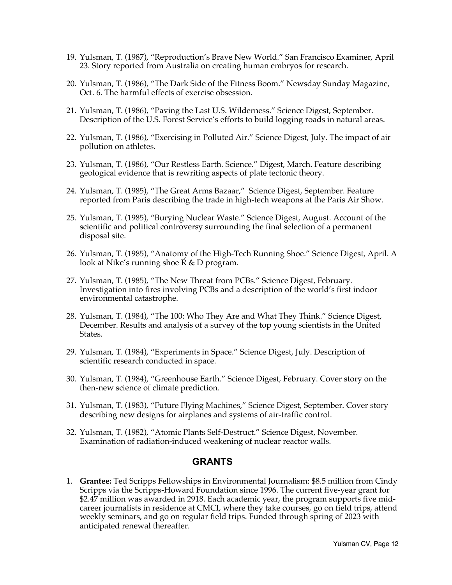- 19. Yulsman, T. (1987), "Reproduction's Brave New World." San Francisco Examiner, April 23. Story reported from Australia on creating human embryos for research.
- 20. Yulsman, T. (1986), "The Dark Side of the Fitness Boom." Newsday Sunday Magazine, Oct. 6. The harmful effects of exercise obsession.
- 21. Yulsman, T. (1986), "Paving the Last U.S. Wilderness." Science Digest, September. Description of the U.S. Forest Service's efforts to build logging roads in natural areas.
- 22. Yulsman, T. (1986), "Exercising in Polluted Air." Science Digest, July. The impact of air pollution on athletes.
- 23. Yulsman, T. (1986), "Our Restless Earth. Science." Digest, March. Feature describing geological evidence that is rewriting aspects of plate tectonic theory.
- 24. Yulsman, T. (1985), "The Great Arms Bazaar," Science Digest, September. Feature reported from Paris describing the trade in high-tech weapons at the Paris Air Show.
- 25. Yulsman, T. (1985), "Burying Nuclear Waste." Science Digest, August. Account of the scientific and political controversy surrounding the final selection of a permanent disposal site.
- 26. Yulsman, T. (1985), "Anatomy of the High-Tech Running Shoe." Science Digest, April. A look at Nike's running shoe R & D program.
- 27. Yulsman, T. (1985), "The New Threat from PCBs." Science Digest, February. Investigation into fires involving PCBs and a description of the world's first indoor environmental catastrophe.
- 28. Yulsman, T. (1984), "The 100: Who They Are and What They Think." Science Digest, December. Results and analysis of a survey of the top young scientists in the United States.
- 29. Yulsman, T. (1984), "Experiments in Space." Science Digest, July. Description of scientific research conducted in space.
- 30. Yulsman, T. (1984), "Greenhouse Earth." Science Digest, February. Cover story on the then-new science of climate prediction.
- 31. Yulsman, T. (1983), "Future Flying Machines," Science Digest, September. Cover story describing new designs for airplanes and systems of air-traffic control.
- 32. Yulsman, T. (1982), "Atomic Plants Self-Destruct." Science Digest, November. Examination of radiation-induced weakening of nuclear reactor walls.

#### **GRANTS**

1. **Grantee:** Ted Scripps Fellowships in Environmental Journalism: \$8.5 million from Cindy Scripps via the Scripps-Howard Foundation since 1996. The current five-year grant for \$2.47 million was awarded in 2918. Each academic year, the program supports five midcareer journalists in residence at CMCI, where they take courses, go on field trips, attend weekly seminars, and go on regular field trips. Funded through spring of 2023 with anticipated renewal thereafter.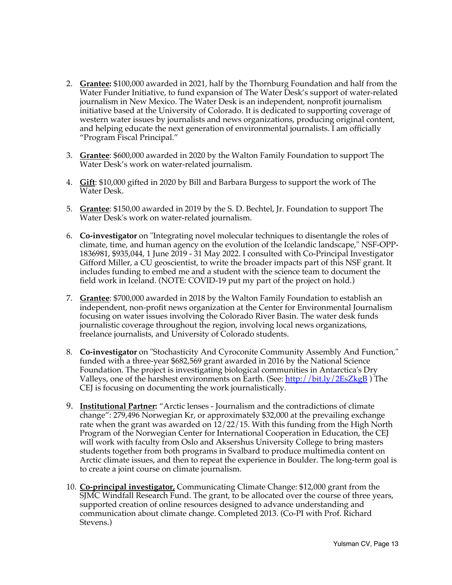- 2. **Grantee:** \$100,000 awarded in 2021, half by the Thornburg Foundation and half from the Water Funder Initiative, to fund expansion of The Water Desk's support of water-related journalism in New Mexico. The Water Desk is an independent, nonprofit journalism initiative based at the University of Colorado. It is dedicated to supporting coverage of western water issues by journalists and news organizations, producing original content, and helping educate the next generation of environmental journalists. I am officially "Program Fiscal Principal."
- 3. **Grantee**: \$600,000 awarded in 2020 by the Walton Family Foundation to support The Water Desk's work on water-related journalism.
- 4. **Gift**: \$10,000 gifted in 2020 by Bill and Barbara Burgess to support the work of The Water Desk.
- 5. **Grantee**: \$150,00 awarded in 2019 by the S. D. Bechtel, Jr. Foundation to support The Water Desk's work on water-related journalism.
- 6. **Co-investigator** on "Integrating novel molecular techniques to disentangle the roles of climate, time, and human agency on the evolution of the Icelandic landscape," NSF-OPP-1836981, \$935,044, 1 June 2019 - 31 May 2022. I consulted with Co-Principal Investigator Gifford Miller, a CU geoscientist, to write the broader impacts part of this NSF grant. It includes funding to embed me and a student with the science team to document the field work in Iceland. (NOTE: COVID-19 put my part of the project on hold.)
- 7. **Grantee**: \$700,000 awarded in 2018 by the Walton Family Foundation to establish an independent, non-profit news organization at the Center for Environmental Journalism focusing on water issues involving the Colorado River Basin. The water desk funds journalistic coverage throughout the region, involving local news organizations, freelance journalists, and University of Colorado students.
- 8. **Co-investigator** on "Stochasticity And Cyroconite Community Assembly And Function," funded with a three-year \$682,569 grant awarded in 2016 by the National Science Foundation. The project is investigating biological communities in Antarctica's Dry Valleys, one of the harshest environments on Earth. (See: <u>http://bit.ly/2EsZkgB</u>) The CEJ is focusing on documenting the work journalistically.
- 9. **Institutional Partner:** "Arctic lenses Journalism and the contradictions of climate change": 279,496 Norwegian Kr, or approximately \$32,000 at the prevailing exchange rate when the grant was awarded on 12/22/15. With this funding from the High North Program of the Norwegian Center for International Cooperation in Education, the CEJ will work with faculty from Oslo and Aksershus University College to bring masters students together from both programs in Svalbard to produce multimedia content on Arctic climate issues, and then to repeat the experience in Boulder. The long-term goal is to create a joint course on climate journalism.
- 10. **Co-principal investigator,** Communicating Climate Change: \$12,000 grant from the SJMC Windfall Research Fund. The grant, to be allocated over the course of three years, supported creation of online resources designed to advance understanding and communication about climate change. Completed 2013. (Co-PI with Prof. Richard Stevens.)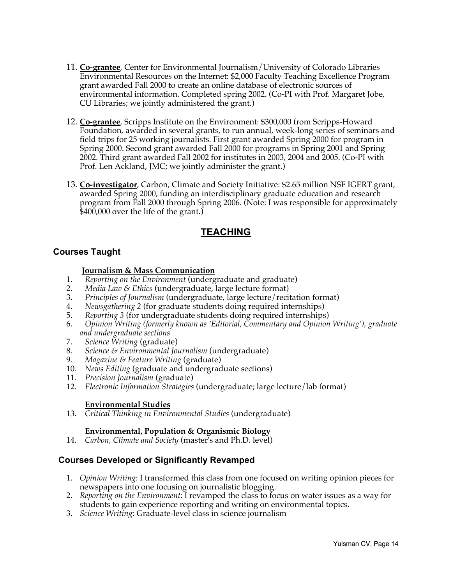- 11. **Co-grantee**, Center for Environmental Journalism/University of Colorado Libraries Environmental Resources on the Internet: \$2,000 Faculty Teaching Excellence Program grant awarded Fall 2000 to create an online database of electronic sources of environmental information. Completed spring 2002. (Co-PI with Prof. Margaret Jobe, CU Libraries; we jointly administered the grant.)
- 12. **Co-grantee**, Scripps Institute on the Environment: \$300,000 from Scripps-Howard Foundation, awarded in several grants, to run annual, week-long series of seminars and field trips for 25 working journalists. First grant awarded Spring 2000 for program in Spring 2000. Second grant awarded Fall 2000 for programs in Spring 2001 and Spring 2002. Third grant awarded Fall 2002 for institutes in 2003, 2004 and 2005. (Co-PI with Prof. Len Ackland, JMC; we jointly administer the grant.)
- 13. **Co-investigator**, Carbon, Climate and Society Initiative: \$2.65 million NSF IGERT grant, awarded Spring 2000, funding an interdisciplinary graduate education and research program from Fall 2000 through Spring 2006. (Note: I was responsible for approximately \$400,000 over the life of the grant.)

# **TEACHING**

# **Courses Taught**

## **Journalism & Mass Communication**

- 1. *Reporting on the Environment* (undergraduate and graduate)
- 2. *Media Law & Ethics* (undergraduate, large lecture format)<br>3. *Principles of Journalism* (undergraduate, large lecture/reci-
- 3. *Principles of Journalism* (undergraduate, large lecture/recitation format)
- 4. *Newsgathering 2* (for graduate students doing required internships)
- 5. *Reporting 3* (for undergraduate students doing required internships)
- 6. *Opinion Writing (formerly known as 'Editorial, Commentary and Opinion Writing'), graduate and undergraduate sections*
- 7. *Science Writing* (graduate)
- 8. *Science & Environmental Journalism* (undergraduate)
- 9. *Magazine & Feature Writing* (graduate)
- 10. *News Editing* (graduate and undergraduate sections)
- 11. *Precision Journalism* (graduate)
- 12. *Electronic Information Strategies* (undergraduate; large lecture/lab format)

# **Environmental Studies**

13. *Critical Thinking in Environmental Studies* (undergraduate)

## **Environmental, Population & Organismic Biology**

14. *Carbon, Climate and Society* (master's and Ph.D. level)

# **Courses Developed or Significantly Revamped**

- 1. *Opinion Writing*: I transformed this class from one focused on writing opinion pieces for newspapers into one focusing on journalistic blogging.
- 2. *Reporting on the Environment*: I revamped the class to focus on water issues as a way for students to gain experience reporting and writing on environmental topics.
- 3. *Science Writing*: Graduate-level class in science journalism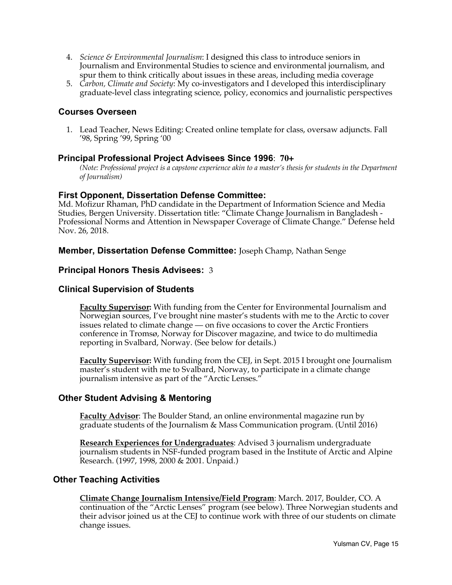- 4. *Science & Environmental Journalism*: I designed this class to introduce seniors in Journalism and Environmental Studies to science and environmental journalism, and spur them to think critically about issues in these areas, including media coverage
- 5. *Carbon, Climate and Society*: My co-investigators and I developed this interdisciplinary graduate-level class integrating science, policy, economics and journalistic perspectives

## **Courses Overseen**

1. Lead Teacher, News Editing: Created online template for class, oversaw adjuncts. Fall '98, Spring '99, Spring '00

#### **Principal Professional Project Advisees Since 1996**: **70+**

*(Note: Professional project is a capstone experience akin to a master's thesis for students in the Department of Journalism)*

#### **First Opponent, Dissertation Defense Committee:**

Md. Mofizur Rhaman, PhD candidate in the Department of Information Science and Media Studies, Bergen University. Dissertation title: "Climate Change Journalism in Bangladesh - Professional Norms and Attention in Newspaper Coverage of Climate Change." Defense held Nov. 26, 2018.

### **Member, Dissertation Defense Committee:** Joseph Champ, Nathan Senge

#### **Principal Honors Thesis Advisees:** 3

### **Clinical Supervision of Students**

**Faculty Supervisor:** With funding from the Center for Environmental Journalism and Norwegian sources, I've brought nine master's students with me to the Arctic to cover issues related to climate change — on five occasions to cover the Arctic Frontiers conference in Tromsø, Norway for Discover magazine, and twice to do multimedia reporting in Svalbard, Norway. (See below for details.)

**Faculty Supervisor:** With funding from the CEJ, in Sept. 2015 I brought one Journalism master's student with me to Svalbard, Norway, to participate in a climate change journalism intensive as part of the "Arctic Lenses."

## **Other Student Advising & Mentoring**

**Faculty Advisor**: The Boulder Stand, an online environmental magazine run by graduate students of the Journalism & Mass Communication program. (Until 2016)

**Research Experiences for Undergraduates**: Advised 3 journalism undergraduate journalism students in NSF-funded program based in the Institute of Arctic and Alpine Research. (1997, 1998, 2000 & 2001. Unpaid.)

#### **Other Teaching Activities**

**Climate Change Journalism Intensive/Field Program**: March. 2017, Boulder, CO. A continuation of the "Arctic Lenses" program (see below). Three Norwegian students and their advisor joined us at the CEJ to continue work with three of our students on climate change issues.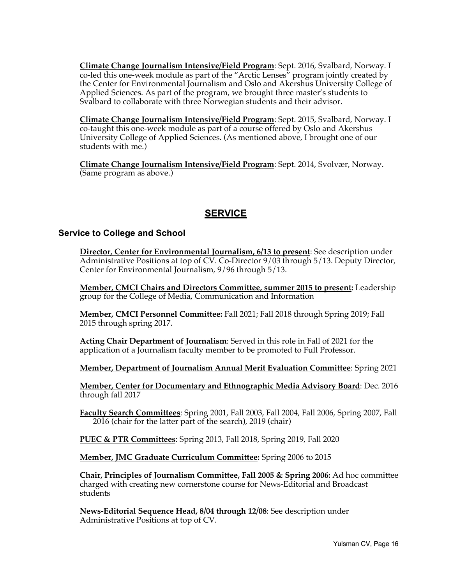**Climate Change Journalism Intensive/Field Program**: Sept. 2016, Svalbard, Norway. I co-led this one-week module as part of the "Arctic Lenses" program jointly created by the Center for Environmental Journalism and Oslo and Akershus University College of Applied Sciences. As part of the program, we brought three master's students to Svalbard to collaborate with three Norwegian students and their advisor.

**Climate Change Journalism Intensive/Field Program**: Sept. 2015, Svalbard, Norway. I co-taught this one-week module as part of a course offered by Oslo and Akershus University College of Applied Sciences. (As mentioned above, I brought one of our students with me.)

**Climate Change Journalism Intensive/Field Program**: Sept. 2014, Svolvær, Norway. (Same program as above.)

# **SERVICE**

#### **Service to College and School**

**Director, Center for Environmental Journalism, 6/13 to present**: See description under Administrative Positions at top of CV. Co-Director 9/03 through 5/13. Deputy Director, Center for Environmental Journalism, 9/96 through 5/13.

**Member, CMCI Chairs and Directors Committee, summer 2015 to present:** Leadership group for the College of Media, Communication and Information

**Member, CMCI Personnel Committee:** Fall 2021; Fall 2018 through Spring 2019; Fall 2015 through spring 2017.

**Acting Chair Department of Journalism**: Served in this role in Fall of 2021 for the application of a Journalism faculty member to be promoted to Full Professor.

**Member, Department of Journalism Annual Merit Evaluation Committee**: Spring 2021

**Member, Center for Documentary and Ethnographic Media Advisory Board**: Dec. 2016 through fall 2017

**Faculty Search Committees**: Spring 2001, Fall 2003, Fall 2004, Fall 2006, Spring 2007, Fall 2016 (chair for the latter part of the search), 2019 (chair)

**PUEC & PTR Committees**: Spring 2013, Fall 2018, Spring 2019, Fall 2020

**Member, JMC Graduate Curriculum Committee:** Spring 2006 to 2015

**Chair, Principles of Journalism Committee, Fall 2005 & Spring 2006:** Ad hoc committee charged with creating new cornerstone course for News-Editorial and Broadcast students

**News-Editorial Sequence Head, 8/04 through 12/08**: See description under Administrative Positions at top of CV.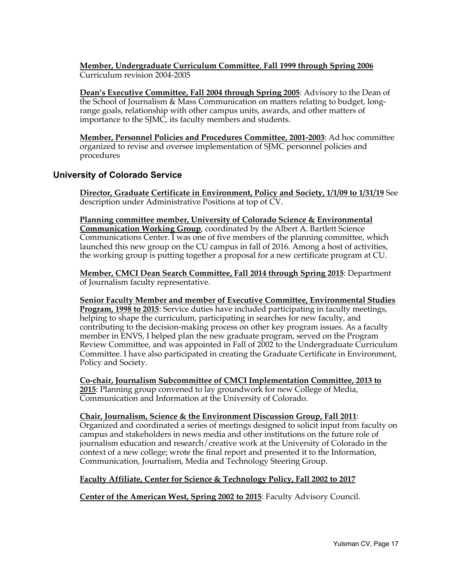**Member, Undergraduate Curriculum Committee**, **Fall 1999 through Spring 2006** Curriculum revision 2004-2005

**Dean's Executive Committee, Fall 2004 through Spring 2005**: Advisory to the Dean of the School of Journalism & Mass Communication on matters relating to budget, longrange goals, relationship with other campus units, awards, and other matters of importance to the SJMC, its faculty members and students.

**Member, Personnel Policies and Procedures Committee, 2001-2003**: Ad hoc committee organized to revise and oversee implementation of SJMC personnel policies and procedures

## **University of Colorado Service**

**Director, Graduate Certificate in Environment, Policy and Society, 1/1/09 to 1/31/19** See description under Administrative Positions at top of CV.

**Planning committee member, University of Colorado Science & Environmental Communication Working Group**, coordinated by the Albert A. Bartlett Science Communications Center. I was one of five members of the planning committee, which launched this new group on the CU campus in fall of 2016. Among a host of activities, the working group is putting together a proposal for a new certificate program at CU.

**Member, CMCI Dean Search Committee, Fall 2014 through Spring 2015**: Department of Journalism faculty representative.

**Senior Faculty Member and member of Executive Committee, Environmental Studies Program, 1998 to 2015**: Service duties have included participating in faculty meetings, helping to shape the curriculum, participating in searches for new faculty, and contributing to the decision-making process on other key program issues. As a faculty member in ENVS, I helped plan the new graduate program, served on the Program Review Committee, and was appointed in Fall of 2002 to the Undergraduate Curriculum Committee. I have also participated in creating the Graduate Certificate in Environment, Policy and Society.

**Co-chair, Journalism Subcommittee of CMCI Implementation Committee, 2013 to 2015**: Planning group convened to lay groundwork for new College of Media, Communication and Information at the University of Colorado.

**Chair, Journalism, Science & the Environment Discussion Group, Fall 2011**: Organized and coordinated a series of meetings designed to solicit input from faculty on campus and stakeholders in news media and other institutions on the future role of journalism education and research/creative work at the University of Colorado in the context of a new college; wrote the final report and presented it to the Information, Communication, Journalism, Media and Technology Steering Group.

#### **Faculty Affiliate, Center for Science & Technology Policy, Fall 2002 to 2017**

**Center of the American West, Spring 2002 to 2015**: Faculty Advisory Council.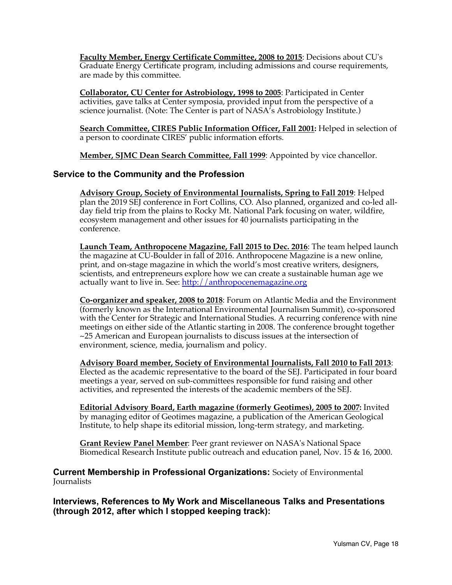**Faculty Member, Energy Certificate Committee, 2008 to 2015**: Decisions about CU's Graduate Energy Certificate program, including admissions and course requirements, are made by this committee.

**Collaborator, CU Center for Astrobiology, 1998 to 2005**: Participated in Center activities, gave talks at Center symposia, provided input from the perspective of a science journalist. (Note: The Center is part of NASA's Astrobiology Institute.)

**Search Committee, CIRES Public Information Officer, Fall 2001:** Helped in selection of a person to coordinate CIRES' public information efforts.

**Member, SJMC Dean Search Committee, Fall 1999**: Appointed by vice chancellor.

## **Service to the Community and the Profession**

**Advisory Group, Society of Environmental Journalists, Spring to Fall 2019**: Helped plan the 2019 SEJ conference in Fort Collins, CO. Also planned, organized and co-led allday field trip from the plains to Rocky Mt. National Park focusing on water, wildfire, ecosystem management and other issues for 40 journalists participating in the conference.

**Launch Team, Anthropocene Magazine, Fall 2015 to Dec. 2016**: The team helped launch the magazine at CU-Boulder in fall of 2016. Anthropocene Magazine is a new online, print, and on-stage magazine in which the world's most creative writers, designers, scientists, and entrepreneurs explore how we can create a sustainable human age we actually want to live in. See: http://anthropocenemagazine.org

**Co-organizer and speaker, 2008 to 2018**: Forum on Atlantic Media and the Environment (formerly known as the International Environmental Journalism Summit), co-sponsored with the Center for Strategic and International Studies. A recurring conference with nine meetings on either side of the Atlantic starting in 2008. The conference brought together ~25 American and European journalists to discuss issues at the intersection of environment, science, media, journalism and policy.

**Advisory Board member, Society of Environmental Journalists, Fall 2010 to Fall 2013**: Elected as the academic representative to the board of the SEJ. Participated in four board meetings a year, served on sub-committees responsible for fund raising and other activities, and represented the interests of the academic members of the SEJ.

**Editorial Advisory Board, Earth magazine (formerly Geotimes), 2005 to 2007:** Invited by managing editor of Geotimes magazine, a publication of the American Geological Institute, to help shape its editorial mission, long-term strategy, and marketing.

**Grant Review Panel Member**: Peer grant reviewer on NASA's National Space Biomedical Research Institute public outreach and education panel, Nov. 15 & 16, 2000.

**Current Membership in Professional Organizations:** Society of Environmental **Journalists** 

**Interviews, References to My Work and Miscellaneous Talks and Presentations (through 2012, after which I stopped keeping track):**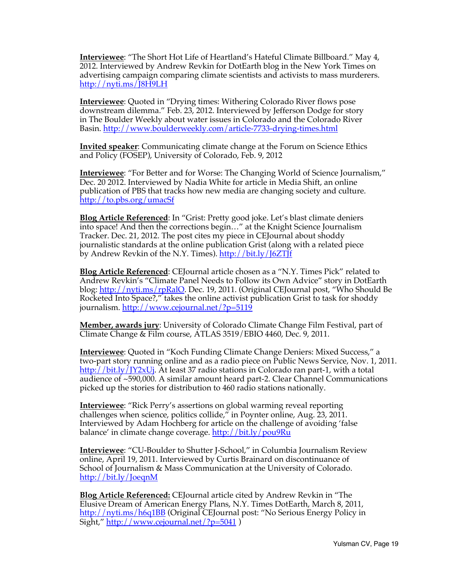**Interviewee**: "The Short Hot Life of Heartland's Hateful Climate Billboard." May 4, 2012. Interviewed by Andrew Revkin for DotEarth blog in the New York Times on advertising campaign comparing climate scientists and activists to mass murderers. http://nyti.ms/J8H9LH

**Interviewee**: Quoted in "Drying times: Withering Colorado River flows pose downstream dilemma." Feb. 23, 2012. Interviewed by Jefferson Dodge for story in The Boulder Weekly about water issues in Colorado and the Colorado River Basin. http://www.boulderweekly.com/article-7733-drying-times.html

**Invited speaker**: Communicating climate change at the Forum on Science Ethics and Policy (FOSEP), University of Colorado, Feb. 9, 2012

**Interviewee**: "For Better and for Worse: The Changing World of Science Journalism," Dec. 20 2012. Interviewed by Nadia White for article in Media Shift, an online publication of PBS that tracks how new media are changing society and culture. http://to.pbs.org/umacSf

**Blog Article Referenced**: In "Grist: Pretty good joke. Let's blast climate deniers into space! And then the corrections begin…" at the Knight Science Journalism Tracker. Dec. 21, 2012. The post cites my piece in CEJournal about shoddy journalistic standards at the online publication Grist (along with a related piece by Andrew Revkin of the N.Y. Times). http://bit.ly/J6ZTJf

**Blog Article Referenced**: CEJournal article chosen as a "N.Y. Times Pick" related to Andrew Revkin's "Climate Panel Needs to Follow its Own Advice" story in DotEarth blog: http://nyti.ms/rpRalO. Dec. 19, 2011. (Original CEJournal post, "Who Should Be Rocketed Into Space?," takes the online activist publication Grist to task for shoddy journalism. http://www.cejournal.net/?p=5119

**Member, awards jury**: University of Colorado Climate Change Film Festival, part of Climate Change & Film course, ATLAS 3519/EBIO 4460, Dec. 9, 2011.

**Interviewee**: Quoted in "Koch Funding Climate Change Deniers: Mixed Success," a two-part story running online and as a radio piece on Public News Service, Nov. 1, 2011. http://bit.ly/JY2xUj. At least 37 radio stations in Colorado ran part-1, with a total audience of ~590,000. A similar amount heard part-2. Clear Channel Communications picked up the stories for distribution to 460 radio stations nationally.

**Interviewee**: "Rick Perry's assertions on global warming reveal reporting challenges when science, politics collide," in Poynter online, Aug. 23, 2011. Interviewed by Adam Hochberg for article on the challenge of avoiding 'false balance' in climate change coverage. http://bit.ly/pou9Ru

**Interviewee**: "CU-Boulder to Shutter J-School," in Columbia Journalism Review online, April 19, 2011. Interviewed by Curtis Brainard on discontinuance of School of Journalism & Mass Communication at the University of Colorado. http://bit.ly/JoeqnM

**Blog Article Referenced:** CEJournal article cited by Andrew Revkin in "The Elusive Dream of American Energy Plans, N.Y. Times DotEarth, March 8, 2011, http://nyti.ms/h6q1BB (Original CEJournal post: "No Serious Energy Policy in Sight," http://www.cejournal.net/?p=5041 )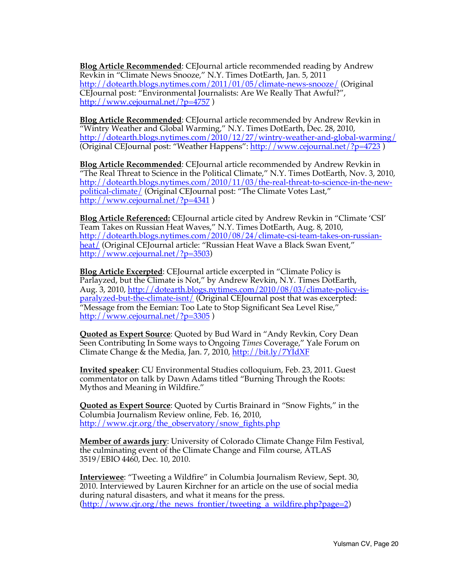**Blog Article Recommended**: CEJournal article recommended reading by Andrew Revkin in "Climate News Snooze," N.Y. Times DotEarth, Jan. 5, 2011 http://dotearth.blogs.nytimes.com/2011/01/05/climate-news-snooze/ (Original CEJournal post: "Environmental Journalists: Are We Really That Awful?", http://www.cejournal.net/?p=4757 )

**Blog Article Recommended**: CEJournal article recommended by Andrew Revkin in "Wintry Weather and Global Warming," N.Y. Times DotEarth, Dec. 28, 2010, http://dotearth.blogs.nytimes.com/2010/12/27/wintry-weather-and-global-warming/ (Original CEJournal post: "Weather Happens": http://www.cejournal.net/?p=4723 )

**Blog Article Recommended**: CEJournal article recommended by Andrew Revkin in "The Real Threat to Science in the Political Climate," N.Y. Times DotEarth, Nov. 3, 2010, http://dotearth.blogs.nytimes.com/2010/11/03/the-real-threat-to-science-in-the-newpolitical-climate/ (Original CEJournal post: "The Climate Votes Last," http://www.cejournal.net/?p=4341 )

**Blog Article Referenced:** CEJournal article cited by Andrew Revkin in "Climate 'CSI' Team Takes on Russian Heat Waves," N.Y. Times DotEarth, Aug. 8, 2010, http://dotearth.blogs.nytimes.com/2010/08/24/climate-csi-team-takes-on-russianheat/ (Original CEJournal article: "Russian Heat Wave a Black Swan Event," http://www.cejournal.net/?p=3503)

**Blog Article Excerpted**: CEJournal article excerpted in "Climate Policy is Parlayzed, but the Climate is Not," by Andrew Revkin, N.Y. Times DotEarth, Aug. 3, 2010, http://dotearth.blogs.nytimes.com/2010/08/03/climate-policy-isparalyzed-but-the-climate-isnt/ (Original CEJournal post that was excerpted: "Message from the Eemian: Too Late to Stop Significant Sea Level Rise," http://www.cejournal.net/?p=3305)

**Quoted as Expert Source**: Quoted by Bud Ward in "Andy Revkin, Cory Dean Seen Contributing In Some ways to Ongoing *Times* Coverage," Yale Forum on Climate Change & the Media, Jan. 7, 2010, http://bit.ly/7YIdXF

**Invited speaker**: CU Environmental Studies colloquium, Feb. 23, 2011. Guest commentator on talk by Dawn Adams titled "Burning Through the Roots: Mythos and Meaning in Wildfire."

**Quoted as Expert Source**: Quoted by Curtis Brainard in "Snow Fights," in the Columbia Journalism Review online, Feb. 16, 2010, http://www.cjr.org/the\_observatory/snow\_fights.php

**Member of awards jury**: University of Colorado Climate Change Film Festival, the culminating event of the Climate Change and Film course, ATLAS 3519/EBIO 4460, Dec. 10, 2010.

**Interviewee**: "Tweeting a Wildfire" in Columbia Journalism Review, Sept. 30, 2010. Interviewed by Lauren Kirchner for an article on the use of social media during natural disasters, and what it means for the press.  $(\text{http://www.cjr.org/the news frontier/tweetinga wildfire.php?page=2})$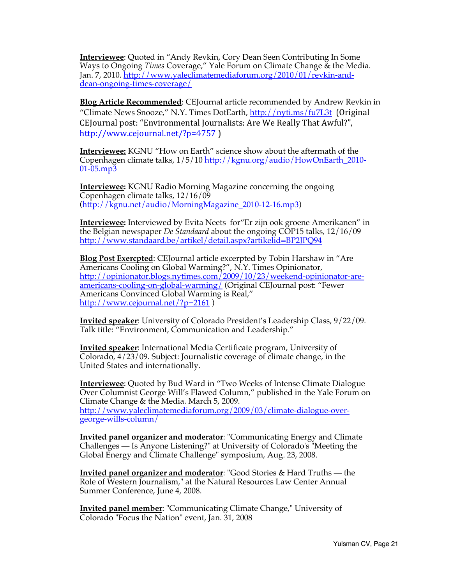**Interviewee**: Quoted in "Andy Revkin, Cory Dean Seen Contributing In Some Ways to Ongoing *Times* Coverage," Yale Forum on Climate Change & the Media. Jan. 7, 2010. http://www.yaleclimatemediaforum.org/2010/01/revkin-anddean-ongoing-times-coverage/

**Blog Article Recommended**: CEJournal article recommended by Andrew Revkin in "Climate News Snooze," N.Y. Times DotEarth, http://nyti.ms/fu7L3t (Original CEJournal post: "Environmental Journalists: Are We Really That Awful?". http://www.cejournal.net/?p=4757 )

**Interviewee:** KGNU "How on Earth" science show about the aftermath of the Copenhagen climate talks, 1/5/10 http://kgnu.org/audio/HowOnEarth\_2010- 01-05.mp3

**Interviewee:** KGNU Radio Morning Magazine concerning the ongoing Copenhagen climate talks, 12/16/09 (http://kgnu.net/audio/MorningMagazine\_2010-12-16.mp3)

**Interviewee:** Interviewed by Evita Neets for"Er zijn ook groene Amerikanen" in the Belgian newspaper *De Standaard* about the ongoing COP15 talks*,* 12/16/09 http://www.standaard.be/artikel/detail.aspx?artikelid=BP2JPQ94

**Blog Post Exercpted**: CEJournal article excerpted by Tobin Harshaw in "Are Americans Cooling on Global Warming?", N.Y. Times Opinionator, http://opinionator.blogs.nytimes.com/2009/10/23/weekend-opinionator-areamericans-cooling-on-global-warming/ (Original CEJournal post: "Fewer Americans Convinced Global Warming is Real," http://www.cejournal.net/?p=2161)

**Invited speaker**: University of Colorado President's Leadership Class, 9/22/09. Talk title: "Environment, Communication and Leadership."

**Invited speaker**: International Media Certificate program, University of Colorado, 4/23/09. Subject: Journalistic coverage of climate change, in the United States and internationally.

**Interviewee**: Quoted by Bud Ward in "Two Weeks of Intense Climate Dialogue Over Columnist George Will's Flawed Column," published in the Yale Forum on Climate Change & the Media. March 5, 2009. http://www.yaleclimatemediaforum.org/2009/03/climate-dialogue-overgeorge-wills-column/

**Invited panel organizer and moderator**: "Communicating Energy and Climate Challenges — Is Anyone Listening?" at University of Colorado's "Meeting the Global Energy and Climate Challenge" symposium, Aug. 23, 2008.

**Invited panel organizer and moderator**: "Good Stories & Hard Truths — the Role of Western Journalism," at the Natural Resources Law Center Annual Summer Conference, June 4, 2008.

**Invited panel member**: "Communicating Climate Change," University of Colorado "Focus the Nation" event, Jan. 31, 2008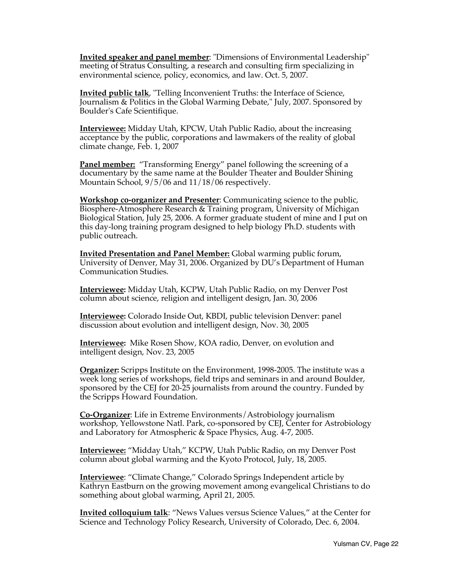**Invited speaker and panel member**: "Dimensions of Environmental Leadership" meeting of Stratus Consulting, a research and consulting firm specializing in environmental science, policy, economics, and law. Oct. 5, 2007.

**Invited public talk**, "Telling Inconvenient Truths: the Interface of Science, Journalism & Politics in the Global Warming Debate," July, 2007. Sponsored by Boulder's Cafe Scientifique.

**Interviewee:** Midday Utah, KPCW, Utah Public Radio, about the increasing acceptance by the public, corporations and lawmakers of the reality of global climate change, Feb. 1, 2007

**Panel member:** "Transforming Energy" panel following the screening of a documentary by the same name at the Boulder Theater and Boulder Shining Mountain School, 9/5/06 and 11/18/06 respectively.

**Workshop co-organizer and Presenter**: Communicating science to the public, Biosphere-Atmosphere Research & Training program, University of Michigan Biological Station, July 25, 2006. A former graduate student of mine and I put on this day-long training program designed to help biology Ph.D. students with public outreach.

**Invited Presentation and Panel Member:** Global warming public forum, University of Denver, May 31, 2006. Organized by DU's Department of Human Communication Studies.

**Interviewee:** Midday Utah, KCPW, Utah Public Radio, on my Denver Post column about science, religion and intelligent design, Jan. 30, 2006

**Interviewee:** Colorado Inside Out, KBDI, public television Denver: panel discussion about evolution and intelligent design, Nov. 30, 2005

**Interviewee:** Mike Rosen Show, KOA radio, Denver, on evolution and intelligent design, Nov. 23, 2005

**Organizer:** Scripps Institute on the Environment, 1998-2005. The institute was a week long series of workshops, field trips and seminars in and around Boulder, sponsored by the CEJ for 20-25 journalists from around the country. Funded by the Scripps Howard Foundation.

**Co-Organizer**: Life in Extreme Environments/Astrobiology journalism workshop, Yellowstone Natl. Park, co-sponsored by CEJ, Center for Astrobiology and Laboratory for Atmospheric & Space Physics, Aug. 4-7, 2005.

**Interviewee:** "Midday Utah," KCPW, Utah Public Radio, on my Denver Post column about global warming and the Kyoto Protocol, July, 18, 2005.

**Interviewee**: "Climate Change," Colorado Springs Independent article by Kathryn Eastburn on the growing movement among evangelical Christians to do something about global warming, April 21, 2005.

**Invited colloquium talk**: "News Values versus Science Values," at the Center for Science and Technology Policy Research, University of Colorado, Dec. 6, 2004.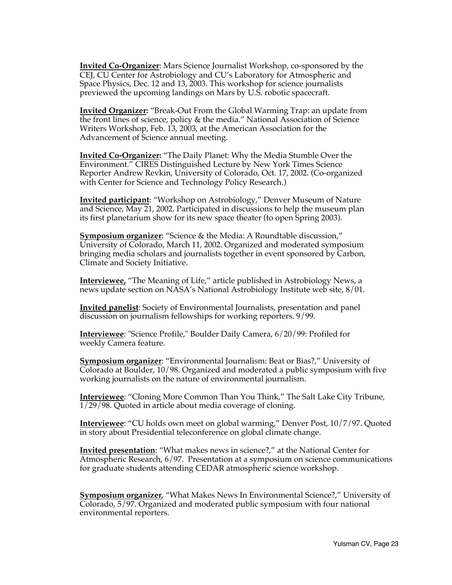**Invited Co-Organizer**: Mars Science Journalist Workshop, co-sponsored by the CEJ, CU Center for Astrobiology and CU's Laboratory for Atmospheric and Space Physics, Dec. 12 and 13, 2003. This workshop for science journalists previewed the upcoming landings on Mars by U.S. robotic spacecraft.

**Invited Organizer:** "Break-Out From the Global Warming Trap: an update from the front lines of science, policy & the media." National Association of Science Writers Workshop, Feb. 13, 2003, at the American Association for the Advancement of Science annual meeting.

**Invited Co-Organizer:** "The Daily Planet: Why the Media Stumble Over the Environment." CIRES Distinguished Lecture by New York Times Science Reporter Andrew Revkin, University of Colorado, Oct. 17, 2002. (Co-organized with Center for Science and Technology Policy Research.)

**Invited participant**: "Workshop on Astrobiology," Denver Museum of Nature and Science, May 21, 2002. Participated in discussions to help the museum plan its first planetarium show for its new space theater (to open Spring 2003).

**Symposium organizer**: "Science & the Media: A Roundtable discussion," University of Colorado, March 11, 2002. Organized and moderated symposium bringing media scholars and journalists together in event sponsored by Carbon, Climate and Society Initiative.

**Interviewee,** "The Meaning of Life," article published in Astrobiology News, a news update section on NASA's National Astrobiology Institute web site, 8/01.

**Invited panelist**: Society of Environmental Journalists, presentation and panel discussion on journalism fellowships for working reporters. 9/99.

**Interviewee**: "Science Profile," Boulder Daily Camera, 6/20/99: Profiled for weekly Camera feature.

**Symposium organizer**: "Environmental Journalism: Beat or Bias?," University of Colorado at Boulder, 10/98. Organized and moderated a public symposium with five working journalists on the nature of environmental journalism.

**Interviewee**: "Cloning More Common Than You Think," The Salt Lake City Tribune, 1/29/98. Quoted in article about media coverage of cloning.

**Interviewee**: "CU holds own meet on global warming," Denver Post, 10/7/97. Quoted in story about Presidential teleconference on global climate change.

**Invited presentation**: "What makes news in science?," at the National Center for Atmospheric Research, 6/97. Presentation at a symposium on science communications for graduate students attending CEDAR atmospheric science workshop.

**Symposium organizer**, "What Makes News In Environmental Science?," University of Colorado, 5/97. Organized and moderated public symposium with four national environmental reporters.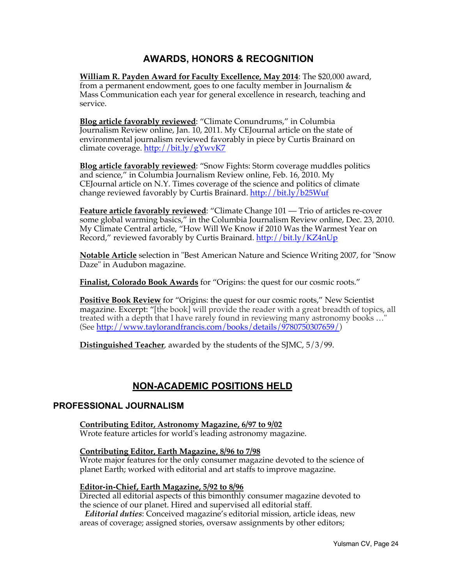# **AWARDS, HONORS & RECOGNITION**

**William R. Payden Award for Faculty Excellence, May 2014**: The \$20,000 award, from a permanent endowment, goes to one faculty member in Journalism & Mass Communication each year for general excellence in research, teaching and service.

**Blog article favorably reviewed**: "Climate Conundrums," in Columbia Journalism Review online, Jan. 10, 2011. My CEJournal article on the state of environmental journalism reviewed favorably in piece by Curtis Brainard on climate coverage. http://bit.ly/gYwvK7

**Blog article favorably reviewed**: "Snow Fights: Storm coverage muddles politics and science," in Columbia Journalism Review online, Feb. 16, 2010. My CEJournal article on N.Y. Times coverage of the science and politics of climate change reviewed favorably by Curtis Brainard. http://bit.ly/b25Wuf

**Feature article favorably reviewed**: "Climate Change 101 — Trio of articles re-cover some global warming basics," in the Columbia Journalism Review online, Dec. 23, 2010. My Climate Central article, "How Will We Know if 2010 Was the Warmest Year on Record," reviewed favorably by Curtis Brainard. http://bit.ly/KZ4nUp

**Notable Article** selection in "Best American Nature and Science Writing 2007, for "Snow Daze" in Audubon magazine.

**Finalist, Colorado Book Awards** for "Origins: the quest for our cosmic roots."

**Positive Book Review** for "Origins: the quest for our cosmic roots," New Scientist magazine. Excerpt: "[the book] will provide the reader with a great breadth of topics, all treated with a depth that I have rarely found in reviewing many astronomy books …" (See http://www.taylorandfrancis.com/books/details/9780750307659/)

**Distinguished Teacher**, awarded by the students of the SJMC, 5/3/99.

# **NON-ACADEMIC POSITIONS HELD**

## **PROFESSIONAL JOURNALISM**

**Contributing Editor, Astronomy Magazine, 6/97 to 9/02**

Wrote feature articles for world's leading astronomy magazine.

#### **Contributing Editor, Earth Magazine, 8/96 to 7/98**

Wrote major features for the only consumer magazine devoted to the science of planet Earth; worked with editorial and art staffs to improve magazine.

#### **Editor-in-Chief, Earth Magazine, 5/92 to 8/96**

Directed all editorial aspects of this bimonthly consumer magazine devoted to the science of our planet. Hired and supervised all editorial staff.

*Editorial duties*: Conceived magazine's editorial mission, article ideas, new areas of coverage; assigned stories, oversaw assignments by other editors;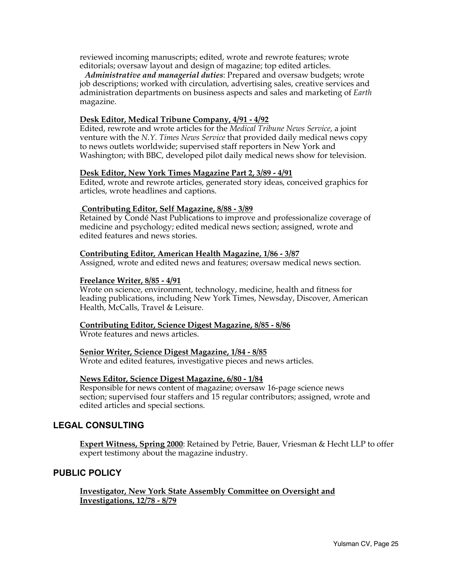reviewed incoming manuscripts; edited, wrote and rewrote features; wrote editorials; oversaw layout and design of magazine; top edited articles.

*Administrative and managerial duties*: Prepared and oversaw budgets; wrote job descriptions; worked with circulation, advertising sales, creative services and administration departments on business aspects and sales and marketing of *Earth* magazine.

#### **Desk Editor, Medical Tribune Company, 4/91 - 4/92**

Edited, rewrote and wrote articles for the *Medical Tribune News Service*, a joint venture with the *N.Y. Times News Service* that provided daily medical news copy to news outlets worldwide; supervised staff reporters in New York and Washington; with BBC, developed pilot daily medical news show for television.

#### **Desk Editor, New York Times Magazine Part 2, 3/89 - 4/91**

Edited, wrote and rewrote articles, generated story ideas, conceived graphics for articles, wrote headlines and captions.

#### **Contributing Editor, Self Magazine, 8/88 - 3/89**

Retained by Condé Nast Publications to improve and professionalize coverage of medicine and psychology; edited medical news section; assigned, wrote and edited features and news stories.

#### **Contributing Editor, American Health Magazine, 1/86 - 3/87**

Assigned, wrote and edited news and features; oversaw medical news section.

#### **Freelance Writer, 8/85 - 4/91**

Wrote on science, environment, technology, medicine, health and fitness for leading publications, including New York Times, Newsday, Discover, American Health, McCalls, Travel & Leisure.

#### **Contributing Editor, Science Digest Magazine, 8/85 - 8/86**

Wrote features and news articles.

#### **Senior Writer, Science Digest Magazine, 1/84 - 8/85**

Wrote and edited features, investigative pieces and news articles.

#### **News Editor, Science Digest Magazine, 6/80 - 1/84**

Responsible for news content of magazine; oversaw 16-page science news section; supervised four staffers and 15 regular contributors; assigned, wrote and edited articles and special sections.

## **LEGAL CONSULTING**

**Expert Witness, Spring 2000**: Retained by Petrie, Bauer, Vriesman & Hecht LLP to offer expert testimony about the magazine industry.

## **PUBLIC POLICY**

**Investigator, New York State Assembly Committee on Oversight and Investigations, 12/78 - 8/79**